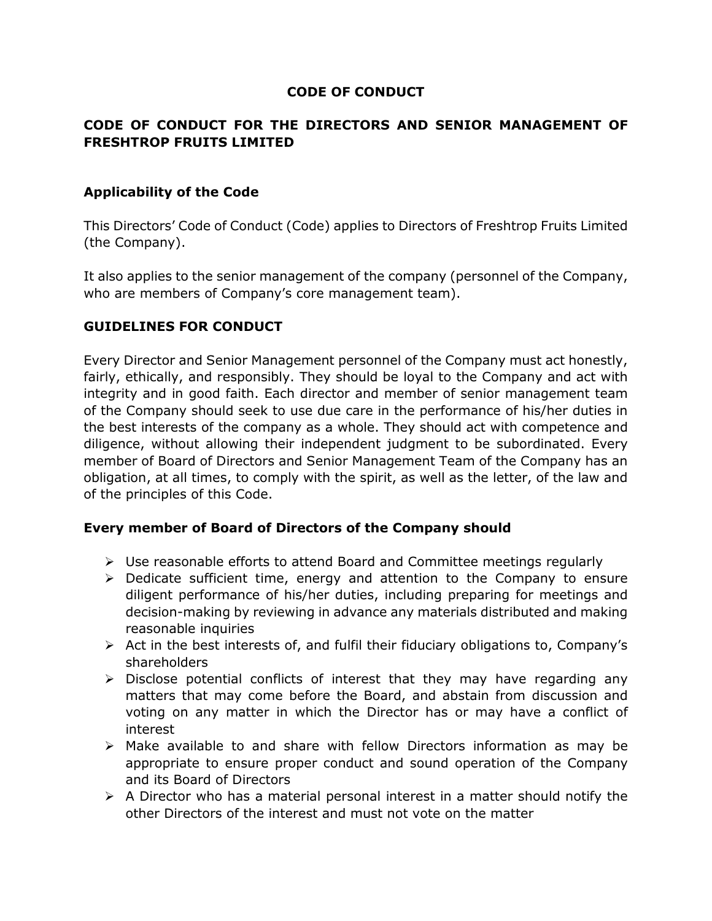# CODE OF CONDUCT

### CODE OF CONDUCT FOR THE DIRECTORS AND SENIOR MANAGEMENT OF FRESHTROP FRUITS LIMITED

### Applicability of the Code

This Directors' Code of Conduct (Code) applies to Directors of Freshtrop Fruits Limited (the Company).

It also applies to the senior management of the company (personnel of the Company, who are members of Company's core management team).

## GUIDELINES FOR CONDUCT

Every Director and Senior Management personnel of the Company must act honestly, fairly, ethically, and responsibly. They should be loyal to the Company and act with integrity and in good faith. Each director and member of senior management team of the Company should seek to use due care in the performance of his/her duties in the best interests of the company as a whole. They should act with competence and diligence, without allowing their independent judgment to be subordinated. Every member of Board of Directors and Senior Management Team of the Company has an obligation, at all times, to comply with the spirit, as well as the letter, of the law and of the principles of this Code.

### Every member of Board of Directors of the Company should

- $\triangleright$  Use reasonable efforts to attend Board and Committee meetings regularly
- $\triangleright$  Dedicate sufficient time, energy and attention to the Company to ensure diligent performance of his/her duties, including preparing for meetings and decision-making by reviewing in advance any materials distributed and making reasonable inquiries
- $\triangleright$  Act in the best interests of, and fulfil their fiduciary obligations to, Company's shareholders
- $\triangleright$  Disclose potential conflicts of interest that they may have regarding any matters that may come before the Board, and abstain from discussion and voting on any matter in which the Director has or may have a conflict of interest
- $\triangleright$  Make available to and share with fellow Directors information as may be appropriate to ensure proper conduct and sound operation of the Company and its Board of Directors
- $\triangleright$  A Director who has a material personal interest in a matter should notify the other Directors of the interest and must not vote on the matter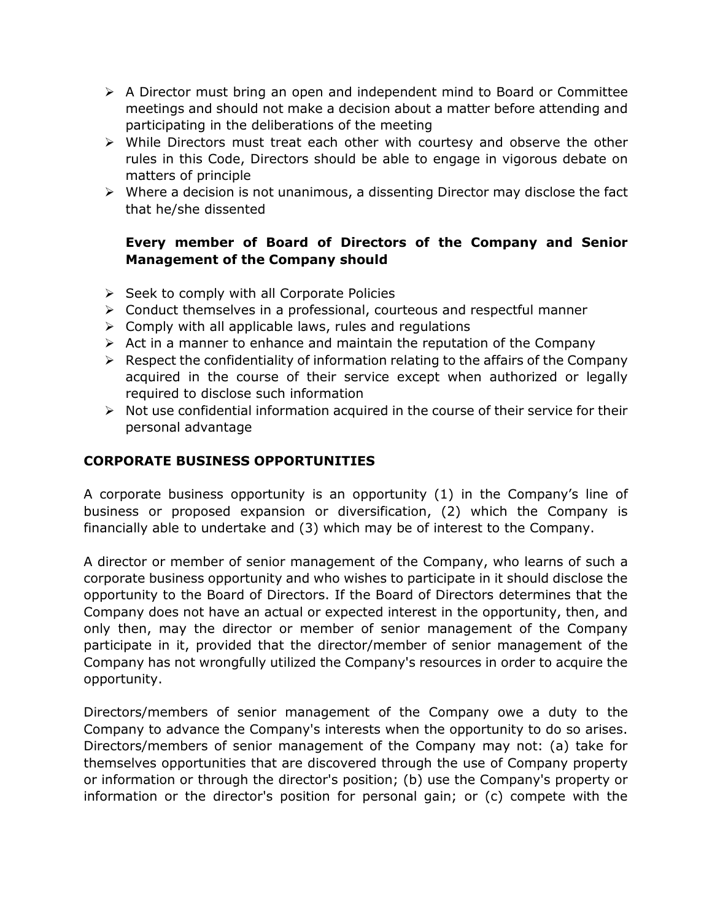- $\triangleright$  A Director must bring an open and independent mind to Board or Committee meetings and should not make a decision about a matter before attending and participating in the deliberations of the meeting
- $\triangleright$  While Directors must treat each other with courtesy and observe the other rules in this Code, Directors should be able to engage in vigorous debate on matters of principle
- $\triangleright$  Where a decision is not unanimous, a dissenting Director may disclose the fact that he/she dissented

# Every member of Board of Directors of the Company and Senior Management of the Company should

- $\triangleright$  Seek to comply with all Corporate Policies
- $\triangleright$  Conduct themselves in a professional, courteous and respectful manner
- $\triangleright$  Comply with all applicable laws, rules and regulations
- $\triangleright$  Act in a manner to enhance and maintain the reputation of the Company
- $\triangleright$  Respect the confidentiality of information relating to the affairs of the Company acquired in the course of their service except when authorized or legally required to disclose such information
- $\triangleright$  Not use confidential information acquired in the course of their service for their personal advantage

# CORPORATE BUSINESS OPPORTUNITIES

A corporate business opportunity is an opportunity (1) in the Company's line of business or proposed expansion or diversification, (2) which the Company is financially able to undertake and (3) which may be of interest to the Company.

A director or member of senior management of the Company, who learns of such a corporate business opportunity and who wishes to participate in it should disclose the opportunity to the Board of Directors. If the Board of Directors determines that the Company does not have an actual or expected interest in the opportunity, then, and only then, may the director or member of senior management of the Company participate in it, provided that the director/member of senior management of the Company has not wrongfully utilized the Company's resources in order to acquire the opportunity.

Directors/members of senior management of the Company owe a duty to the Company to advance the Company's interests when the opportunity to do so arises. Directors/members of senior management of the Company may not: (a) take for themselves opportunities that are discovered through the use of Company property or information or through the director's position; (b) use the Company's property or information or the director's position for personal gain; or (c) compete with the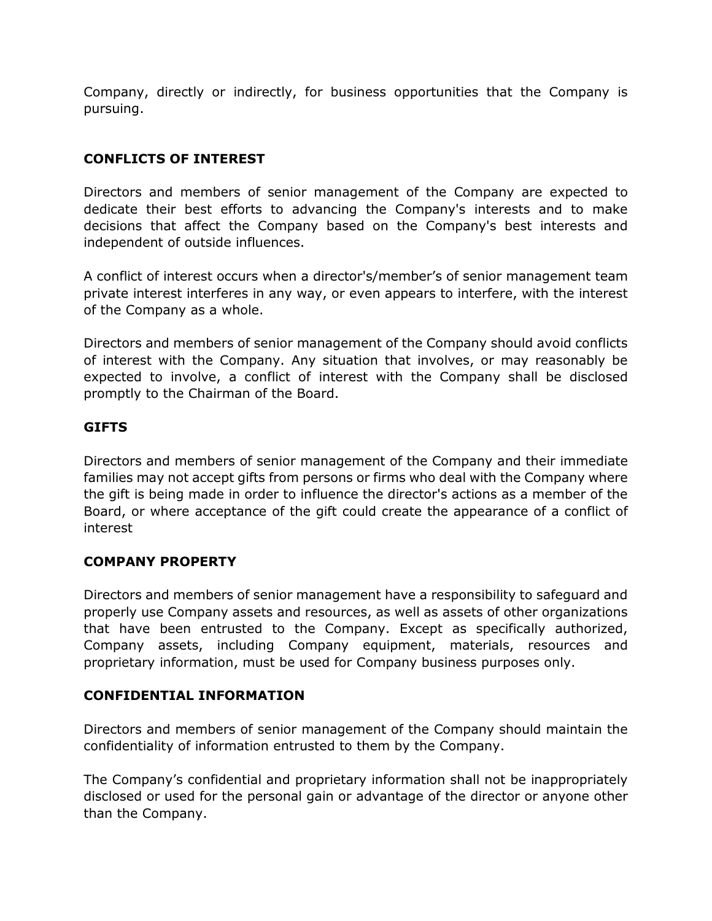Company, directly or indirectly, for business opportunities that the Company is pursuing.

# CONFLICTS OF INTEREST

Directors and members of senior management of the Company are expected to dedicate their best efforts to advancing the Company's interests and to make decisions that affect the Company based on the Company's best interests and independent of outside influences.

A conflict of interest occurs when a director's/member's of senior management team private interest interferes in any way, or even appears to interfere, with the interest of the Company as a whole.

Directors and members of senior management of the Company should avoid conflicts of interest with the Company. Any situation that involves, or may reasonably be expected to involve, a conflict of interest with the Company shall be disclosed promptly to the Chairman of the Board.

# **GIFTS**

Directors and members of senior management of the Company and their immediate families may not accept gifts from persons or firms who deal with the Company where the gift is being made in order to influence the director's actions as a member of the Board, or where acceptance of the gift could create the appearance of a conflict of interest

### COMPANY PROPERTY

Directors and members of senior management have a responsibility to safeguard and properly use Company assets and resources, as well as assets of other organizations that have been entrusted to the Company. Except as specifically authorized, Company assets, including Company equipment, materials, resources and proprietary information, must be used for Company business purposes only.

# CONFIDENTIAL INFORMATION

Directors and members of senior management of the Company should maintain the confidentiality of information entrusted to them by the Company.

The Company's confidential and proprietary information shall not be inappropriately disclosed or used for the personal gain or advantage of the director or anyone other than the Company.